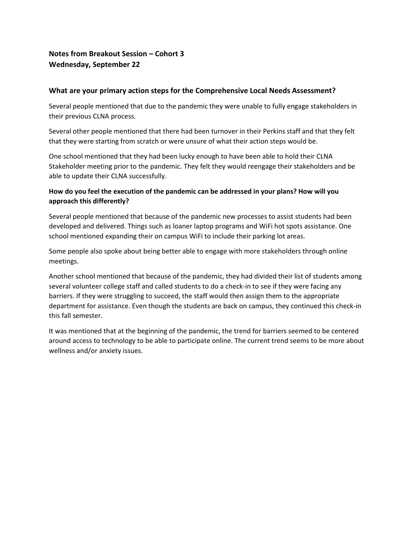# **Notes from Breakout Session – Cohort 3 Wednesday, September 22**

### **What are your primary action steps for the Comprehensive Local Needs Assessment?**

Several people mentioned that due to the pandemic they were unable to fully engage stakeholders in their previous CLNA process.

Several other people mentioned that there had been turnover in their Perkins staff and that they felt that they were starting from scratch or were unsure of what their action steps would be.

One school mentioned that they had been lucky enough to have been able to hold their CLNA Stakeholder meeting prior to the pandemic. They felt they would reengage their stakeholders and be able to update their CLNA successfully.

## **How do you feel the execution of the pandemic can be addressed in your plans? How will you approach this differently?**

Several people mentioned that because of the pandemic new processes to assist students had been developed and delivered. Things such as loaner laptop programs and WiFi hot spots assistance. One school mentioned expanding their on campus WiFi to include their parking lot areas.

Some people also spoke about being better able to engage with more stakeholders through online meetings.

Another school mentioned that because of the pandemic, they had divided their list of students among several volunteer college staff and called students to do a check-in to see if they were facing any barriers. If they were struggling to succeed, the staff would then assign them to the appropriate department for assistance. Even though the students are back on campus, they continued this check-in this fall semester.

It was mentioned that at the beginning of the pandemic, the trend for barriers seemed to be centered around access to technology to be able to participate online. The current trend seems to be more about wellness and/or anxiety issues.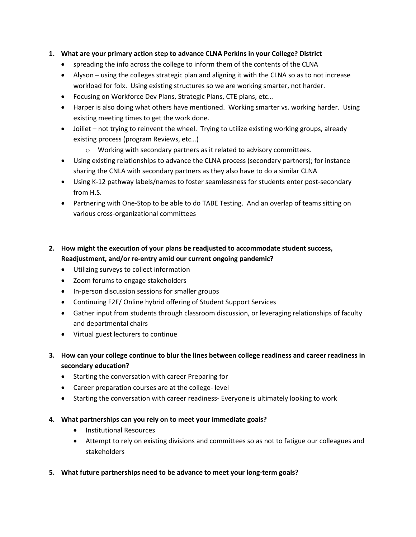### **1. What are your primary action step to advance CLNA Perkins in your College? District**

- spreading the info across the college to inform them of the contents of the CLNA
- Alyson using the colleges strategic plan and aligning it with the CLNA so as to not increase workload for folx. Using existing structures so we are working smarter, not harder.
- Focusing on Workforce Dev Plans, Strategic Plans, CTE plans, etc…
- Harper is also doing what others have mentioned. Working smarter vs. working harder. Using existing meeting times to get the work done.
- Joiliet not trying to reinvent the wheel. Trying to utilize existing working groups, already existing process (program Reviews, etc…)
	- o Working with secondary partners as it related to advisory committees.
- Using existing relationships to advance the CLNA process (secondary partners); for instance sharing the CNLA with secondary partners as they also have to do a similar CLNA
- Using K-12 pathway labels/names to foster seamlessness for students enter post-secondary from H.S.
- Partnering with One-Stop to be able to do TABE Testing. And an overlap of teams sitting on various cross-organizational committees

## **2. How might the execution of your plans be readjusted to accommodate student success, Readjustment, and/or re-entry amid our current ongoing pandemic?**

- Utilizing surveys to collect information
- Zoom forums to engage stakeholders
- In-person discussion sessions for smaller groups
- Continuing F2F/ Online hybrid offering of Student Support Services
- Gather input from students through classroom discussion, or leveraging relationships of faculty and departmental chairs
- Virtual guest lecturers to continue
- **3. How can your college continue to blur the lines between college readiness and career readiness in secondary education?**
	- Starting the conversation with career Preparing for
	- Career preparation courses are at the college- level
	- Starting the conversation with career readiness- Everyone is ultimately looking to work
- **4. What partnerships can you rely on to meet your immediate goals?**
	- Institutional Resources
	- Attempt to rely on existing divisions and committees so as not to fatigue our colleagues and stakeholders
- **5. What future partnerships need to be advance to meet your long-term goals?**